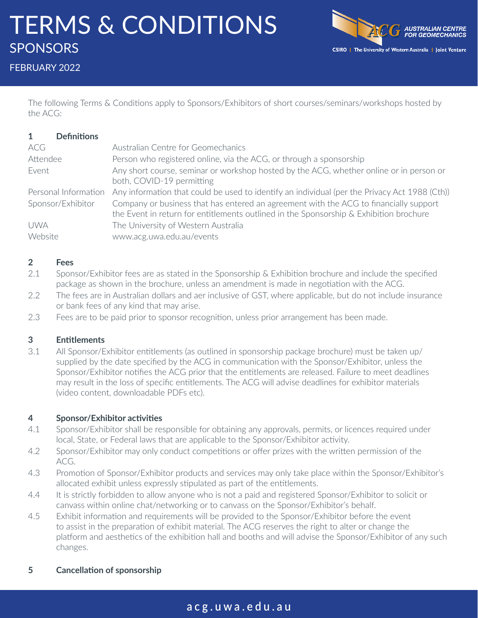# TERMS & CONDITIONS **SPONSORS**



FEBRUARY 2022

The following Terms & Conditions apply to Sponsors/Exhibitors of short courses/seminars/workshops hosted by the ACG:

| <b>Definitions</b><br>-1 |                                                                                                                                                                                 |
|--------------------------|---------------------------------------------------------------------------------------------------------------------------------------------------------------------------------|
| ACG                      | Australian Centre for Geomechanics                                                                                                                                              |
| Attendee                 | Person who registered online, via the ACG, or through a sponsorship                                                                                                             |
| Event                    | Any short course, seminar or workshop hosted by the ACG, whether online or in person or<br>both, COVID-19 permitting                                                            |
| Personal Information     | Any information that could be used to identify an individual (per the Privacy Act 1988 (Cth))                                                                                   |
| Sponsor/Exhibitor        | Company or business that has entered an agreement with the ACG to financially support<br>the Event in return for entitlements outlined in the Sponsorship & Exhibition brochure |
| <b>UWA</b>               | The University of Western Australia                                                                                                                                             |
| Website                  | www.acg.uwa.edu.au/events                                                                                                                                                       |

#### **2 Fees**

- 2.1 Sponsor/Exhibitor fees are as stated in the Sponsorship & Exhibition brochure and include the specified package as shown in the brochure, unless an amendment is made in negotiation with the ACG.
- 2.2 The fees are in Australian dollars and aer inclusive of GST, where applicable, but do not include insurance or bank fees of any kind that may arise.
- 2.3 Fees are to be paid prior to sponsor recognition, unless prior arrangement has been made.

#### **3 Entitlements**

3.1 All Sponsor/Exhibitor entitlements (as outlined in sponsorship package brochure) must be taken up/ supplied by the date specified by the ACG in communication with the Sponsor/Exhibitor, unless the Sponsor/Exhibitor notifies the ACG prior that the entitlements are released. Failure to meet deadlines may result in the loss of specific entitlements. The ACG will advise deadlines for exhibitor materials (video content, downloadable PDFs etc).

#### **4 Sponsor/Exhibitor activities**

- 4.1 Sponsor/Exhibitor shall be responsible for obtaining any approvals, permits, or licences required under local, State, or Federal laws that are applicable to the Sponsor/Exhibitor activity.
- 4.2 Sponsor/Exhibitor may only conduct competitions or offer prizes with the written permission of the ACG.
- 4.3 Promotion of Sponsor/Exhibitor products and services may only take place within the Sponsor/Exhibitor's allocated exhibit unless expressly stipulated as part of the entitlements.
- 4.4 It is strictly forbidden to allow anyone who is not a paid and registered Sponsor/Exhibitor to solicit or canvass within online chat/networking or to canvass on the Sponsor/Exhibitor's behalf.
- 4.5 Exhibit information and requirements will be provided to the Sponsor/Exhibitor before the event to assist in the preparation of exhibit material. The ACG reserves the right to alter or change the platform and aesthetics of the exhibition hall and booths and will advise the Sponsor/Exhibitor of any such changes.

#### **5 Cancellation of sponsorship**

# **acg.uwa.edu.au**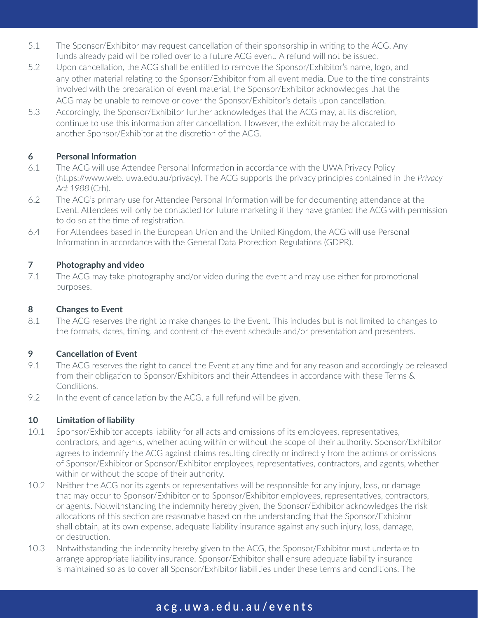- 5.1 The Sponsor/Exhibitor may request cancellation of their sponsorship in writing to the ACG. Any funds already paid will be rolled over to a future ACG event. A refund will not be issued.
- 5.2 Upon cancellation, the ACG shall be entitled to remove the Sponsor/Exhibitor's name, logo, and any other material relating to the Sponsor/Exhibitor from all event media. Due to the time constraints involved with the preparation of event material, the Sponsor/Exhibitor acknowledges that the ACG may be unable to remove or cover the Sponsor/Exhibitor's details upon cancellation.
- 5.3 Accordingly, the Sponsor/Exhibitor further acknowledges that the ACG may, at its discretion, continue to use this information after cancellation. However, the exhibit may be allocated to another Sponsor/Exhibitor at the discretion of the ACG.

## **6 Personal Information**

- 6.1 The ACG will use Attendee Personal Information in accordance with the UWA Privacy Policy (https://www.web. uwa.edu.au/privacy). The ACG supports the privacy principles contained in the *Privacy Act 1988* (Cth).
- 6.2 The ACG's primary use for Attendee Personal Information will be for documenting attendance at the Event. Attendees will only be contacted for future marketing if they have granted the ACG with permission to do so at the time of registration.
- 6.4 For Attendees based in the European Union and the United Kingdom, the ACG will use Personal Information in accordance with the General Data Protection Regulations (GDPR).

# **7 Photography and video**

7.1 The ACG may take photography and/or video during the event and may use either for promotional purposes.

## **8 Changes to Event**

8.1 The ACG reserves the right to make changes to the Event. This includes but is not limited to changes to the formats, dates, timing, and content of the event schedule and/or presentation and presenters.

# **9 Cancellation of Event**

- 9.1 The ACG reserves the right to cancel the Event at any time and for any reason and accordingly be released from their obligation to Sponsor/Exhibitors and their Attendees in accordance with these Terms & Conditions.
- 9.2 In the event of cancellation by the ACG, a full refund will be given.

# **10 Limitation of liability**

- 10.1 Sponsor/Exhibitor accepts liability for all acts and omissions of its employees, representatives, contractors, and agents, whether acting within or without the scope of their authority. Sponsor/Exhibitor agrees to indemnify the ACG against claims resulting directly or indirectly from the actions or omissions of Sponsor/Exhibitor or Sponsor/Exhibitor employees, representatives, contractors, and agents, whether within or without the scope of their authority.
- 10.2 Neither the ACG nor its agents or representatives will be responsible for any injury, loss, or damage that may occur to Sponsor/Exhibitor or to Sponsor/Exhibitor employees, representatives, contractors, or agents. Notwithstanding the indemnity hereby given, the Sponsor/Exhibitor acknowledges the risk allocations of this section are reasonable based on the understanding that the Sponsor/Exhibitor shall obtain, at its own expense, adequate liability insurance against any such injury, loss, damage, or destruction.
- 10.3 Notwithstanding the indemnity hereby given to the ACG, the Sponsor/Exhibitor must undertake to arrange appropriate liability insurance. Sponsor/Exhibitor shall ensure adequate liability insurance is maintained so as to cover all Sponsor/Exhibitor liabilities under these terms and conditions. The

# **acg.uwa.edu.au/events**